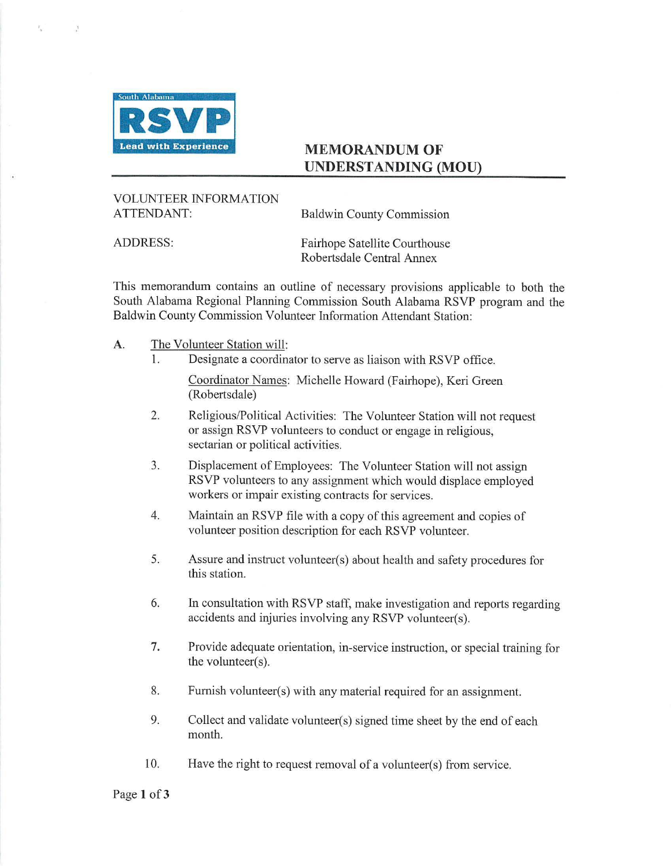

## **Lead with Experience MEMORANDUM OF UNDERSTANDING (MOU)**

## VOLUNTEER INFORMATION ATTENDANT: Baldwin County Commission

ADDRESS:

 $\beta$ 

Fairhope Satellite Courthouse Robertsdale Central Annex

This memorandum contains an outline of necessary provisions applicable to both the South Alabama Regional Planning Commission South Alabama RSVP program and the Baldwin County Commission Volunteer Information Attendant Station:

- **A.** The Volunteer Station will:
	- 1. Designate a coordinator to serve as liaison with RSVP office.

Coordinator Names: Michelle Howard (Fairhope), Keri Green (Robertsdale)

- 2. Religious/Political Activities: The Volunteer Station will not request or assign RSVP volunteers to conduct or engage in religious, sectarian or political activities.
- 3. Displacement of Employees: The Volunteer Station will not assign RSVP volunteers to any assignment which would displace employed workers or impair existing contracts for services.
- 4. Maintain an RSVP file with a copy of this agreement and copies of volunteer position description for each RSVP volunteer.
- 5. Assure and instmct volunteer(s) about health and safety procedures for this station.
- 6. In consultation with RSVP staff, make investigation and reports regarding accidents and injuries involving any RSVP volunteer(s).
- 7. Provide adequate orientation, in-service instruction, or special training for the volunteer(s).
- 8. Furnish volunteer(s) with any material required for an assignment.
- 9. Collect and validate volunteer(s) signed time sheet by the end of each month.
- 10. Have the right to request removal of a volunteer(s) from service.

Page **1** of 3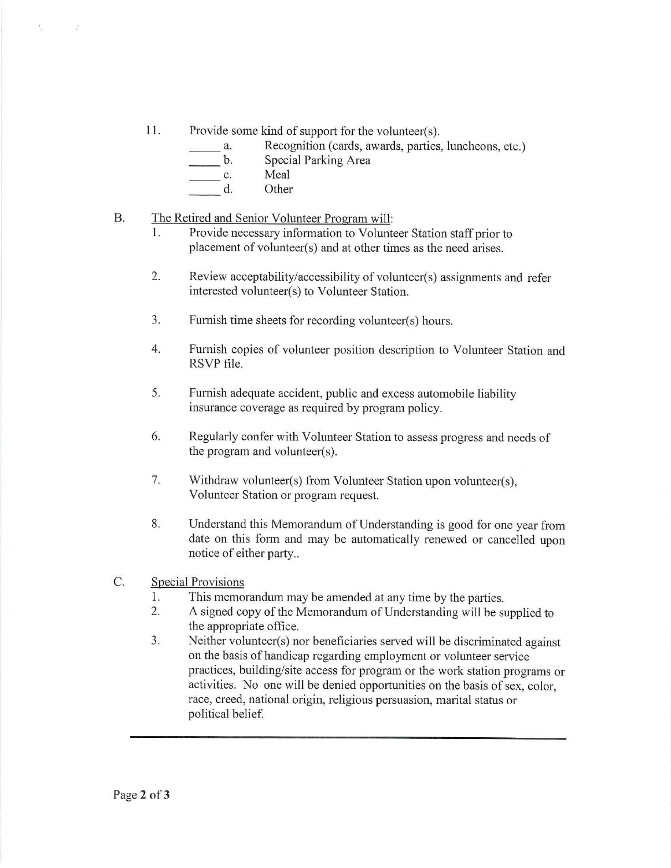- 11. Provide some kind of support for the volunteer(s).
	- a. Recognition (cards, awards, parties, luncheons, etc.)
	- b. Special Parking Area
	- \_\_\_\_\_\_\_ c. Meal

 $\overline{\mathbb{S}}$ 

d. Other

## B. The Retired and Senior Volunteer Program will:

- 1. Provide necessary infonnation to Volunteer Station staff prior to placement of volunteer(s) and at other times as the need arises.
- 2. Review acceptability/accessibility of volunteer(s) assignments and refer interested volunteer(s) to Volunteer Station.
- 3. Furnish time sheets for recording volunteer(s) hours.
- 4. Furnish copies of volunteer position description to Volunteer Station and RSVP file.
- 5. Furnish adequate accident, public and excess automobile liability insurance coverage as required by program policy.
- 6. Regularly confer with Volunteer Station to assess progress and needs of the program and volunteer(s).
- 7. Withdraw volunteer(s) from Volunteer Station upon volunteer(s), Volunteer Station or program request.
- 8. Understand this Memorandum of Understanding is good for one year from date on this form and may be automatically renewed or cancelled upon notice of either party...

## C. Special Provisions

- 1. This memorandum may be amended at any time by the parties.
- 2. A signed copy of the Memorandum of Understanding will be supplied to the appropriate office.
- 3. Neither volunteer(s) nor beneficiaries served will be discriminated against on the basis of handicap regarding employment or volunteer service practices, building/site access for program or the work station programs or activities. No one will be denied opportunities on the basis of sex, color, race, creed, national origin, religious persuasion, marital status or political belief.